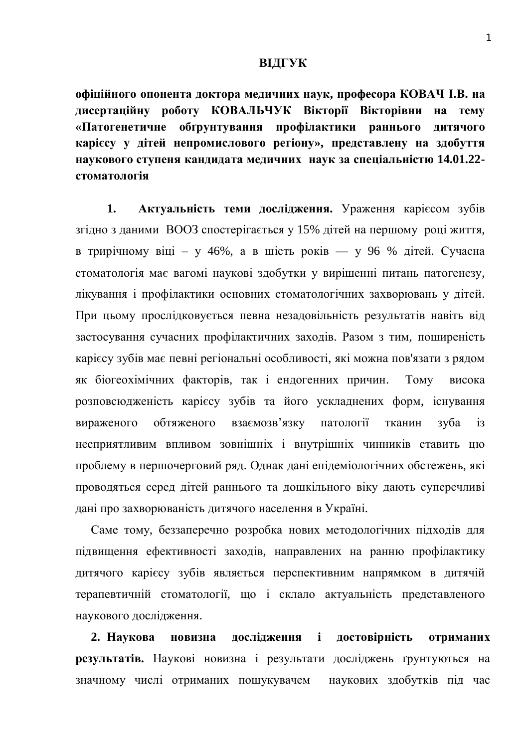## **ВІДГУК**

**уфіційного опонента доктора медичних наук, професора КОВАЧ І.В. на** дисертаційну роботу КОВАЛЬЧУК Вікторії Вікторівни на тему «Патогенетичне обґрунтування профілактики раннього дитячого карієсу у дітей непромислового регіону», представлену на здобуття **ɧɚɭɤɨɜɨɝɨɫɬɭɩɟɧɹɤɚɧɞɢɞɚɬɚɦɟɞɢɱɧɢɯ ɧɚɭɤɡɚɫɩɟɰɿɚɥɶɧɿɫɬɸ 14.01.22** cтоматологія

1. **Актуальність теми дослідження.** Ураження карієсом зубів згідно з даними ВООЗ спостерігається у 15% дітей на першому році життя, в трирічному віці – у 46%, а в шість років — у 96 % дітей. Сучасна стоматологія має вагомі наукові здобутки у вирішенні питань патогенезу, лікування і профілактики основних стоматологічних захворювань у дітей. При цьому прослідковується певна незадовільність результатів навіть від застосування сучасних профілактичних заходів. Разом з тим, поширеність карієсу зубів має певні регіональні особливості, які можна пов'язати з рядом як біогеохімічних факторів, так і ендогенних причин. Тому висока розповсюдженість карієсу зубів та його ускладнених форм, існування вираженого обтяженого взаємозв'язку патології тканин зуба із несприятливим впливом зовнішніх і внутрішніх чинників ставить цю проблему в першочерговий ряд. Однак дані епідеміологічних обстежень, які проводяться серед дітей раннього та дошкільного віку дають суперечливі дані про захворюваність дитячого населення в Україні.

Саме тому, беззаперечно розробка нових методологічних підходів для підвищення ефективності заходів, направлених на ранню профілактику дитячого карієсу зубів являється перспективним напрямком в дитячій терапевтичній стоматології, що і склало актуальність представленого наукового дослідження.

2. Наукова новизна дослідження і достовірність отриманих **результатів.** Наукові новизна і результати досліджень ґрунтуються на значному числі отриманих пошукувачем наукових здобутків під час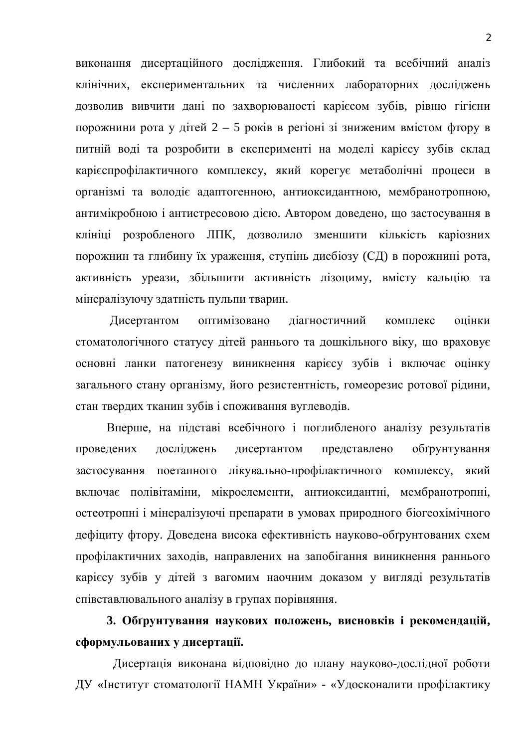виконання дисертаційного дослідження. Глибокий та всебічний аналіз клінічних, експериментальних та численних лабораторних досліджень дозволив вивчити дані по захворюваності карієсом зубів, рівню гігієни порожнини рота у дітей  $2 - 5$  років в регіоні зі зниженим вмістом фтору в питній воді та розробити в експерименті на моделі карієсу зубів склад карієспрофілактичного комплексу, який корегує метаболічні процеси в організмі та володіє адаптогенною, антиоксидантною, мембранотропною, антимікробною і антистресовою дією. Автором доведено, що застосування в клініці розробленого ЛПК, дозволило зменшити кількість каріозних порожнин та глибину їх ураження, ступінь дисбіозу (СД) в порожнині рота, активність уреази, збільшити активність лізоциму, вмісту кальцію та мінералізуючу здатність пульпи тварин.

Дисертантом оптимізовано діагностичний комплекс оцінки стоматологічного статусу дітей раннього та дошкільного віку, що враховує основні ланки патогенезу виникнення карієсу зубів і включає оцінку загального стану організму, його резистентність, гомеорезис ротової рідини, стан твердих тканин зубів і споживання вуглеводів.

Вперше, на підставі всебічного і поглибленого аналізу результатів проведених досліджень дисертантом представлено обґрунтування застосування поетапного лікувально-профілактичного комплексу, який включає полівітаміни, мікроелементи, антиоксидантні, мембранотропні, остеотропні і мінералізуючі препарати в умовах природного біогеохімічного дефіциту фтору. Доведена висока ефективність науково-обґрунтованих схем профілактичних заходів, направлених на запобігання виникнення раннього карієсу зубів у дітей з вагомим наочним доказом у вигляді результатів співставлювального аналізу в групах порівняння.

3. Обґрунтування наукових положень, висновків і рекомендацій, сформульованих у дисертації.

Дисертація виконана відповідно до плану науково-дослідної роботи ДУ «Інститут стоматології НАМН України» - «Удосконалити профілактику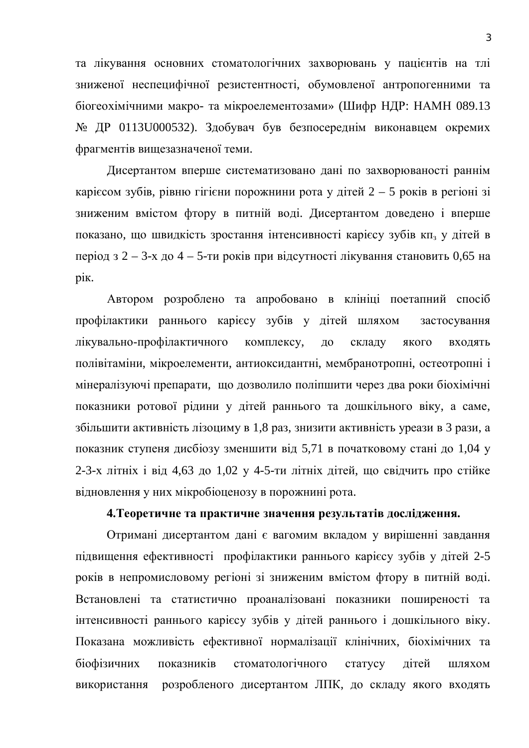та лікування основних стоматологічних захворювань у пацієнтів на тлі зниженої неспецифічної резистентності, обумовленої антропогенними та біогеохімічними макро- та мікроелементозами» (Шифр НДР: НАМН 089.13 № ДР 0113U000532). Здобувач був безпосереднім виконавцем окремих фрагментів вищезазначеної теми.

Дисертантом вперше систематизовано дані по захворюваності раннім каріє сом зубів, рівню гігієни порожнини рота у дітей 2 – 5 років в регіоні зі зниженим вмістом фтору в питній воді. Дисертантом доведено і вперше показано, що швидкість зростання інтенсивності карієсу зубів кп<sub>з</sub> у дітей в період з 2 – 3-х до 4 – 5-ти років при відсутності лікування становить 0,65 на pik.

Автором розроблено та апробовано в клініці поетапний спосіб профілактики раннього карієсу зубів у дітей шляхом застосування лікувально-профілактичного комплексу, до складу якого входять полівітаміни, мікроелементи, антиоксидантні, мембранотропні, остеотропні і мінералізуючі препарати, що дозволило поліпшити через два роки біохімічні показники ротової рідини у дітей раннього та дошкільного віку, а саме. збільшити активність лізоциму в 1,8 раз, знизити активність уреази в 3 рази, а показник ступеня дисбіозу зменшити від 5,71 в початковому стані до 1,04 у 2-3-х літніх і від 4,63 до 1,02 у 4-5-ти літніх дітей, що свідчить про стійке відновлення у них мікробіоценозу в порожнині рота.

## 4. Теоретичне та практичне значення результатів дослідження.

Отримані дисертантом дані є вагомим вкладом у вирішенні завдання підвищення ефективності профілактики раннього карієсу зубів у дітей 2-5 років в непромисловому регіоні зі зниженим вмістом фтору в питній воді. Встановлені та статистично проаналізовані показники поширеності та інтенсивності раннього карієсу зубів у дітей раннього і дошкільного віку. Показана можливість ефективної нормалізації клінічних, біохімічних та біофізичних показників стоматологічного статусу дітей шляхом використання розробленого дисертантом ЛПК, до складу якого входять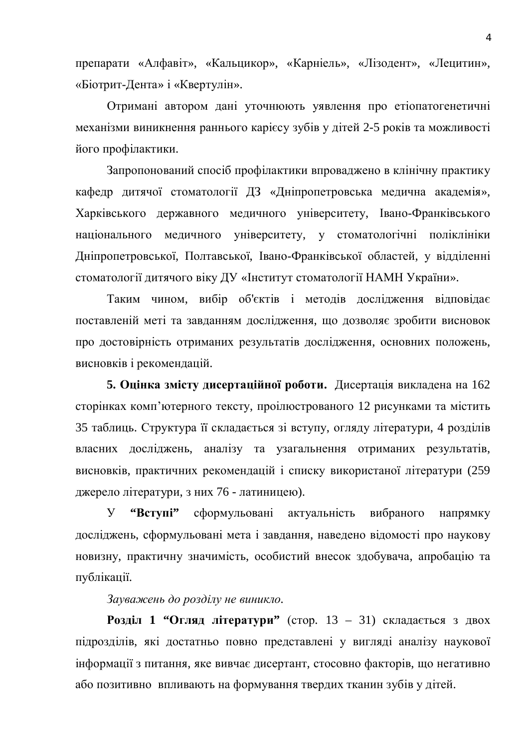препарати «Алфавіт», «Кальцикор», «Карніель», «Лізодент», «Лецитин», «Біотрит-Дента» і «Квертулін».

Отримані автором дані уточнюють уявлення про етіопатогенетичні механізми виникнення раннього карієсу зубів у дітей 2-5 років та можливості його профілактики.

Запропонований спосіб профілактики впроваджено в клінічну практику кафедр дитячої стоматології ДЗ «Дніпропетровська медична академія», Харківського державного медичного університету, Івано-Франківського національного медичного університету, у стоматологічні поліклініки Дніпропетровської, Полтавської, Івано-Франківської областей, у відділенні стоматології дитячого віку ДУ «Інститут стоматології НАМН України».

Таким чином, вибір об'єктів і методів дослідження відповідає поставленій меті та завданням дослідження, що дозволяє зробити висновок про достовірність отриманих результатів дослідження, основних положень, висновків і рекомендацій.

5. Опінка змісту лисертаційної роботи. Лисертація викладена на 162 сторінках комп'ютерного тексту, проілюстрованого 12 рисунками та містить 35 таблиць. Структура її складається зі вступу, огляду літератури, 4 розділів власних досліджень, аналізу та узагальнення отриманих результатів, висновків, практичних рекомендацій і списку використаної літератури (259 джерело літератури, з них 76 - латиницею).

У "Вступі" сформульовані актуальність вибраного напрямку досліджень, сформульовані мета і завдання, наведено відомості про наукову новизну, практичну значимість, особистий внесок здобувача, апробацію та публікації.

Зауважень до розділу не виникло.

**Розділ 1 "Огляд літератури"** (стор. 13 – 31) складається з двох підрозділів, які достатньо повно представлені у вигляді аналізу наукової нформації з питання, яке вивчає дисертант, стосовно факторів, що негативно або позитивно впливають на формування твердих тканин зубів у дітей.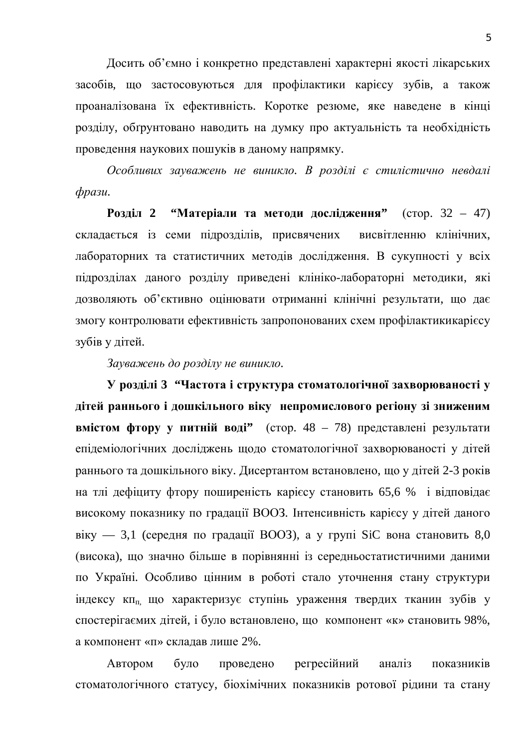Досить об'ємно і конкретно представлені характерні якості лікарських засобів, що застосовуються для профілактики карієсу зубів, а також проаналізована їх ефективність. Коротке резюме, яке наведене в кінці розділу, обґрунтовано наводить на думку про актуальність та необхідність проведення наукових пошуків в даному напрямку.

Особливих зауважень не виникло. В розділі є стилістично невдалі  $$ 

**Розділ 2 "Матеріали та методи дослідження"** (стор. 32 – 47) складається із семи підрозділів, присвячених висвітленню клінічних, лабораторних та статистичних методів дослідження. В сукупності у всіх підрозділах даного розділу приведені клініко-лабораторні методики, які дозволяють об'єктивно оцінювати отриманні клінічні результати, що дає змогу контролювати ефективність запропонованих схем профілактикикаріє су зубів у дітей.

Зауважень до розділу не виникло.

**У розділі 3 "Частота і структура стоматологічної захворюваності у** дітей раннього і дошкільного віку непромислового регіону зі зниженим **вмістом фтору у питній воді" (стор. 48 – 78) представлені результати** епідеміологічних досліджень щодо стоматологічної захворюваності у дітей раннього та дошкільного віку. Дисертантом встановлено, що у дітей 2-3 років на тлі дефіциту фтору поширеність карієсу становить 65,6 % і відповідає високому показнику по градації ВООЗ. Інтенсивність карієсу у дітей даного віку — 3,1 (середня по градації ВООЗ), а у групі SiC вона становить 8,0 (висока), що значно більше в порівнянні із середньостатистичними даними по Україні. Особливо цінним в роботі стало уточнення стану структури індексу кп<sub>п</sub> що характеризує ступінь ураження твердих тканин зубів у спостерігаємих дітей, і було встановлено, що компонент «к» становить 98%, а компонент «п» складав лише 2%.

Автором було проведено регресійний аналіз показників стоматологічного статусу, біохімічних показників ротової рідини та стану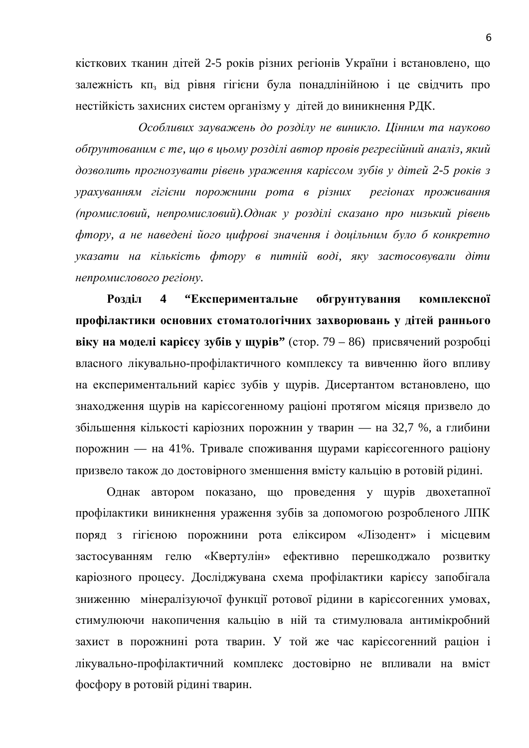кісткових тканин дітей 2-5 років різних регіонів України і встановлено, що залежність кп<sub>з</sub> від рівня гігієни була понадлінійною і це свідчить про нестійкість захисних систем організму у дітей до виникнення РДК.

Особливих зауважень до розділу не виникло. Цінним та науково  $\delta$ бґрунтованим є те, що в цьому розділі автор провів регресійний аналіз, який  $\partial$ *озволить прогнозувати рівень ураження карієсом зубів у дітей 2-5 років з* урахуванням гігієни порожнини рота в різних регіонах проживання  $(n_{\text{p}}\alpha_{\text{u}}\alpha_{\text{u}}, \alpha_{\text{p}}\alpha_{\text{u}}\alpha_{\text{u}})$  *промисловий*). Однак у розділі сказано про низький рівень фтору, а не наведені його цифрові значення *і доцільним було б конкретно* указати на кількість фтору в питній воді, яку застосовували діти  $HP$ иепромислового регіону.

Розділ 4 "Експериментальне обгрунтування комплексної профілактики основних стоматологічних захворювань у дітей раннього **BiKY Ha MOJEJI Kapiccy**  $3\sqrt{6}$ **ib y**  $\mu$ **ypib" (стор. 79 – 86) присвячений розробці** власного лікувально-профілактичного комплексу та вивченню його впливу на експериментальний карієс зубів у щурів. Дисертантом встановлено, що знаходження щурів на карієсогенному раціоні протягом місяця призвело до збільшення кількості каріозних порожнин у тварин — на 32,7 %, а глибини порожнин — на 41%. Тривале споживання щурами каріє согенного раціону призвело також до достовірного зменшення вмісту кальцію в ротовій рідині.

Однак автором показано, що проведення у щурів двохетапної профілактики виникнення ураження зубів за допомогою розробленого ЛПК поряд з гігієною порожнини рота еліксиром «Лізодент» і місцевим застосуванням гелю «Квертулін» ефективно перешкоджало розвитку каріозного процесу. Досліджувана схема профілактики карієсу запобігала зниженню мінералізуючої функції ротової рідини в карієсогенних умовах, стимулюючи накопичення кальцію в ній та стимулювала антимікробний захист в порожнині рота тварин. У той же час карієсогенний раціон і лікувально-профілактичний комплекс достовірно не впливали на вміст фосфору в ротовій рідині тварин.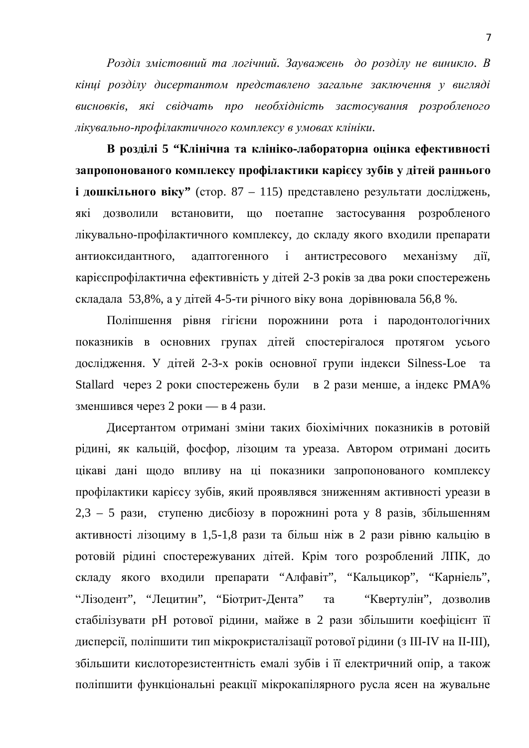Pозділ змістовний та логічний. Зауважень до розділу не виникло. В **кінці розділу дисертантом представлено загальне заключення у вигляді** висновків, які свідчать про необхідність застосування розробленого дікувально-профілактичного комплексу в умовах клініки.

В розділі 5 "Клінічна та клініко-лабораторна оцінка ефективності запропонованого комплексу профілактики карієсу зубів у дітей раннього **і дошкільного віку"** (стор. 87 – 115) представлено результати досліджень, які дозволили встановити, що поетапне застосування розробленого лікувально-профілактичного комплексу, до складу якого входили препарати антиоксидантного, адаптогенного і антистресового механізму дії, карієспрофілактична ефективність у дітей 2-3 років за два роки спостережень складала 53,8%, а у дітей 4-5-ти річного віку вона дорівнювала 56,8 %.

Поліпшення рівня гігієни порожнини рота і пародонтологічних показників в основних групах дітей спостерігалося протягом усього дослідження. У дітей 2-3-х років основної групи індекси Silness-Loe та Stallard через 2 роки спостережень були в 2 рази менше, а індекс РМА% зменшився через 2 роки — в 4 рази.

Дисертантом отримані зміни таких біохімічних показників в ротовій рідині, як кальцій, фосфор, лізоцим та уреаза. Автором отримані досить цікаві дані щодо впливу на ці показники запропонованого комплексу профілактики карієсу зубів, який проявлявся зниженням активності уреази в  $2,3 - 5$  рази, ступеню дисбіозу в порожнині рота у 8 разів, збільшенням активності лізоциму в 1,5-1,8 рази та більш ніж в 2 рази рівню кальцію в ротовій рідині спостережуваних дітей. Крім того розроблений ЛПК, до складу якого входили препарати "Алфавіт", "Кальцикор", "Карніель", "Лізодент", "Лецитин", "Біотрит-Дента" та "Квертулін", дозволив стабілізувати рН ротової рідини, майже в 2 рази збільшити коефіцієнт її дисперсії, поліпшити тип мікрокристалізації ротової рідини (з III-IV на II-III), збільшити кислоторезистентність емалі зубів і її електричний опір, а також поліпшити функціональні реакції мікрокапілярного русла ясен на жувальне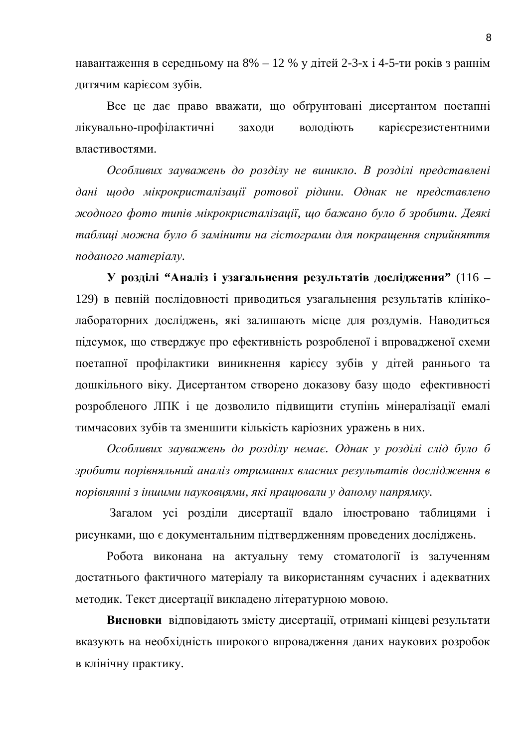навантаження в середньому на  $8\% - 12\%$  у дітей 2-3-х і 4-5-ти років з раннім дитячим карієсом зубів.

Все це дає право вважати, що обґрунтовані дисертантом поетапні лікувально-профілактичні заходи володіють каріє срезистентними властивостями.

Особливих зауважень до розділу не виникло. В розділі представлені дані щодо мікрокристалізації ротової рідини. Однак не представлено  $x^x$ *жодного фото типів мікрокристалізації, що бажано було б зробити. Деякі* таблиці можна було б замінити на гістограми для покращення сприйняття  $no\ddot{o}$ *aного* матеріалу.

**У розділі "Аналіз і узагальнення результатів дослідження" (116 –** 129) в певній послідовності приводиться узагальнення результатів клініколабораторних досліджень, які залишають місце для роздумів. Наводиться підсумок, що стверджує про ефективність розробленої і впровадженої схеми поетапної профілактики виникнення карієсу зубів у дітей раннього та дошкільного віку. Дисертантом створено доказову базу щодо ефективності розробленого ЛПК і це дозволило підвищити ступінь мінералізації емалі тимчасових зубів та зменшити кількість каріозних уражень в них.

Особливих зауважень до розділу немає. Однак у розділі слід було б зробити порівняльний аналіз отриманих власних результатів дослідження в порівнянні з іншими науковиями, які працювали у даному напрямку.

Загалом усі розділи дисертації вдало ілюстровано таблицями і рисунками, що є документальним підтвердженням проведених досліджень.

Робота виконана на актуальну тему стоматології із залученням достатнього фактичного матеріалу та використанням сучасних і адекватних методик. Текст дисертації викладено літературною мовою.

Висновки відповідають змісту дисертації, отримані кінцеві результати вказують на необхідність широкого впровадження даних наукових розробок в клінічну практику.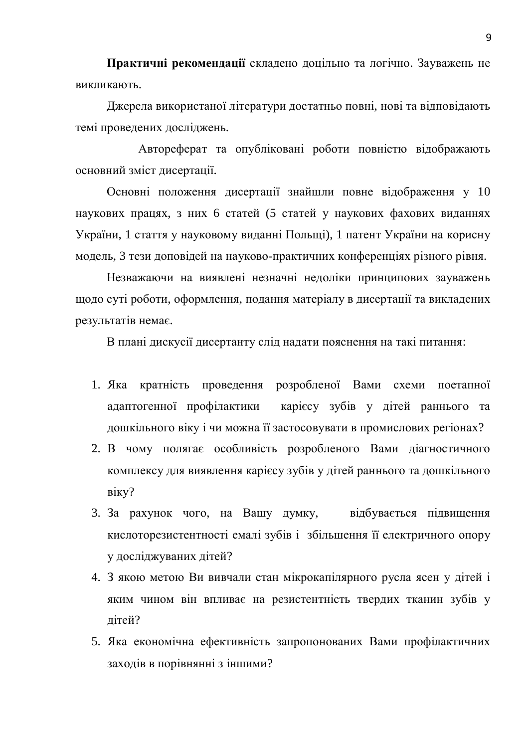Практичні рекомендації складено доцільно та логічно. Зауважень не викликають.

Джерела використаної літератури достатньо повні, нові та відповідають темі проведених досліджень.

Автореферат та опубліковані роботи повністю відображають основний зміст дисертації.

Основні положення дисертації знайшли повне відображення у 10 наукових працях, з них 6 статей (5 статей у наукових фахових виданнях України, 1 стаття у науковому виданні Польщі), 1 патент України на корисну модель, 3 тези доповідей на науково-практичних конференціях різного рівня.

Незважаючи на виявлені незначні недоліки принципових зауважень щодо суті роботи, оформлення, подання матеріалу в дисертації та викладених результатів немає.

В плані дискусії дисертанту слід надати пояснення на такі питання:

- 1. Яка кратність проведення розробленої Вами схеми поетапної адаптогенної профілактики карієсу зубів у дітей раннього та дошкільного віку і чи можна її застосовувати в промислових регіонах?
- 2. В чому полягає особливість розробленого Вами діагностичного комплексу для виявлення карієсу зубів у дітей раннього та дошкільного B<sub>ikv</sub>?
- 3. За рахунок чого, на Вашу думку, відбувається підвищення кислоторезистентності емалі зубів і збільшення її електричного опору у досліджуваних дітей?
- 4. З якою метою Ви вивчали стан мікрокапілярного русла ясен у дітей і яким чином він впливає на резистентність твердих тканин зубів у літей?
- 5. Яка економічна ефективність запропонованих Вами профілактичних заходів в порівнянні з іншими?